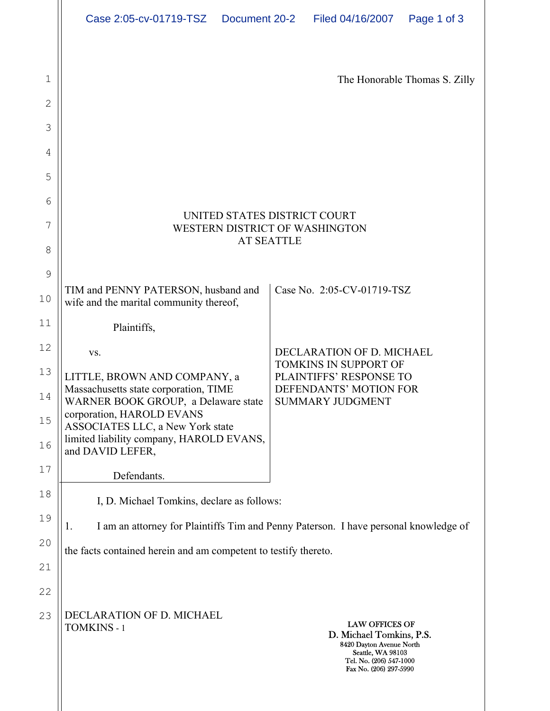|              | Case 2:05-cv-01719-TSZ  Document 20-2                                                                     |  | Filed 04/16/2007                                                                                                                                        | Page 1 of 3                   |  |  |
|--------------|-----------------------------------------------------------------------------------------------------------|--|---------------------------------------------------------------------------------------------------------------------------------------------------------|-------------------------------|--|--|
|              |                                                                                                           |  |                                                                                                                                                         |                               |  |  |
| $\mathbf 1$  |                                                                                                           |  |                                                                                                                                                         | The Honorable Thomas S. Zilly |  |  |
| $\mathbf{2}$ |                                                                                                           |  |                                                                                                                                                         |                               |  |  |
| 3            |                                                                                                           |  |                                                                                                                                                         |                               |  |  |
| 4            |                                                                                                           |  |                                                                                                                                                         |                               |  |  |
| 5            |                                                                                                           |  |                                                                                                                                                         |                               |  |  |
| 6            |                                                                                                           |  |                                                                                                                                                         |                               |  |  |
| 7            | UNITED STATES DISTRICT COURT<br>WESTERN DISTRICT OF WASHINGTON                                            |  |                                                                                                                                                         |                               |  |  |
| $8\,$        | <b>AT SEATTLE</b>                                                                                         |  |                                                                                                                                                         |                               |  |  |
| 9            |                                                                                                           |  |                                                                                                                                                         |                               |  |  |
| 10           | TIM and PENNY PATERSON, husband and<br>wife and the marital community thereof,                            |  | Case No. 2:05-CV-01719-TSZ                                                                                                                              |                               |  |  |
| 11           | Plaintiffs,                                                                                               |  |                                                                                                                                                         |                               |  |  |
| 12           | VS.                                                                                                       |  | DECLARATION OF D. MICHAEL<br><b>TOMKINS IN SUPPORT OF</b>                                                                                               |                               |  |  |
| 13           | LITTLE, BROWN AND COMPANY, a                                                                              |  | PLAINTIFFS' RESPONSE TO<br>DEFENDANTS' MOTION FOR                                                                                                       |                               |  |  |
| 14           | Massachusetts state corporation, TIME<br>WARNER BOOK GROUP, a Delaware state<br>corporation, HAROLD EVANS |  | <b>SUMMARY JUDGMENT</b>                                                                                                                                 |                               |  |  |
| 15<br>16     | ASSOCIATES LLC, a New York state<br>limited liability company, HAROLD EVANS,<br>and DAVID LEFER,          |  |                                                                                                                                                         |                               |  |  |
| 17           | Defendants.                                                                                               |  |                                                                                                                                                         |                               |  |  |
| 18           | I, D. Michael Tomkins, declare as follows:                                                                |  |                                                                                                                                                         |                               |  |  |
| 19           | I am an attorney for Plaintiffs Tim and Penny Paterson. I have personal knowledge of<br>1.                |  |                                                                                                                                                         |                               |  |  |
| 20           | the facts contained herein and am competent to testify thereto.                                           |  |                                                                                                                                                         |                               |  |  |
| 21           |                                                                                                           |  |                                                                                                                                                         |                               |  |  |
| 22           |                                                                                                           |  |                                                                                                                                                         |                               |  |  |
| 23           | DECLARATION OF D. MICHAEL<br><b>TOMKINS - 1</b>                                                           |  | <b>LAW OFFICES OF</b><br>D. Michael Tomkins, P.S.<br>8420 Dayton Avenue North<br>Seattle, WA 98103<br>Tel. No. (206) 547-1000<br>Fax No. (206) 297-5990 |                               |  |  |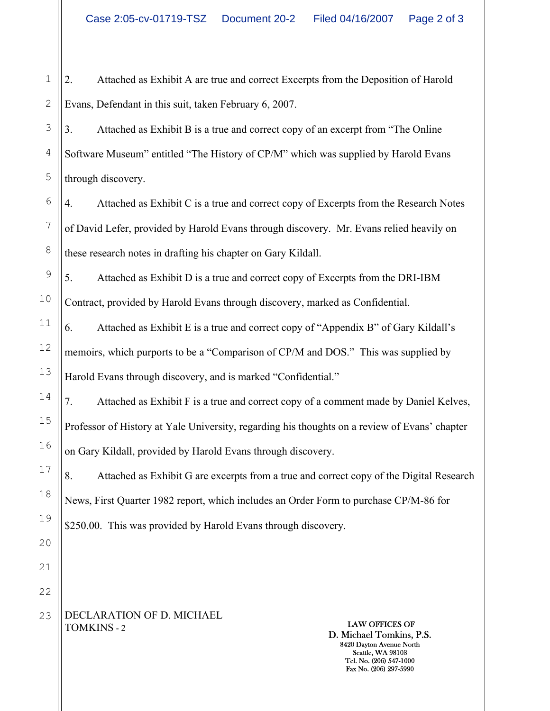1 2 2. Attached as Exhibit A are true and correct Excerpts from the Deposition of Harold Evans, Defendant in this suit, taken February 6, 2007.

3 3. Attached as Exhibit B is a true and correct copy of an excerpt from "The Online Software Museum" entitled "The History of CP/M" which was supplied by Harold Evans through discovery.

4. Attached as Exhibit C is a true and correct copy of Excerpts from the Research Notes of David Lefer, provided by Harold Evans through discovery. Mr. Evans relied heavily on these research notes in drafting his chapter on Gary Kildall.

5. Attached as Exhibit D is a true and correct copy of Excerpts from the DRI-IBM Contract, provided by Harold Evans through discovery, marked as Confidential.

6. Attached as Exhibit E is a true and correct copy of "Appendix B" of Gary Kildall's memoirs, which purports to be a "Comparison of CP/M and DOS." This was supplied by Harold Evans through discovery, and is marked "Confidential."

7. Attached as Exhibit F is a true and correct copy of a comment made by Daniel Kelves, Professor of History at Yale University, regarding his thoughts on a review of Evans' chapter on Gary Kildall, provided by Harold Evans through discovery.

8. Attached as Exhibit G are excerpts from a true and correct copy of the Digital Research News, First Quarter 1982 report, which includes an Order Form to purchase CP/M-86 for \$250.00. This was provided by Harold Evans through discovery.

DECLARATION OF D. MICHAEL TOMKINS - 2

LAW OFFICES OF D. Michael Tomkins, P.S. 8420 Dayton Avenue North Seattle, WA 98103 Tel. No. (206) 547-1000 Fax No. (206) 297-5990